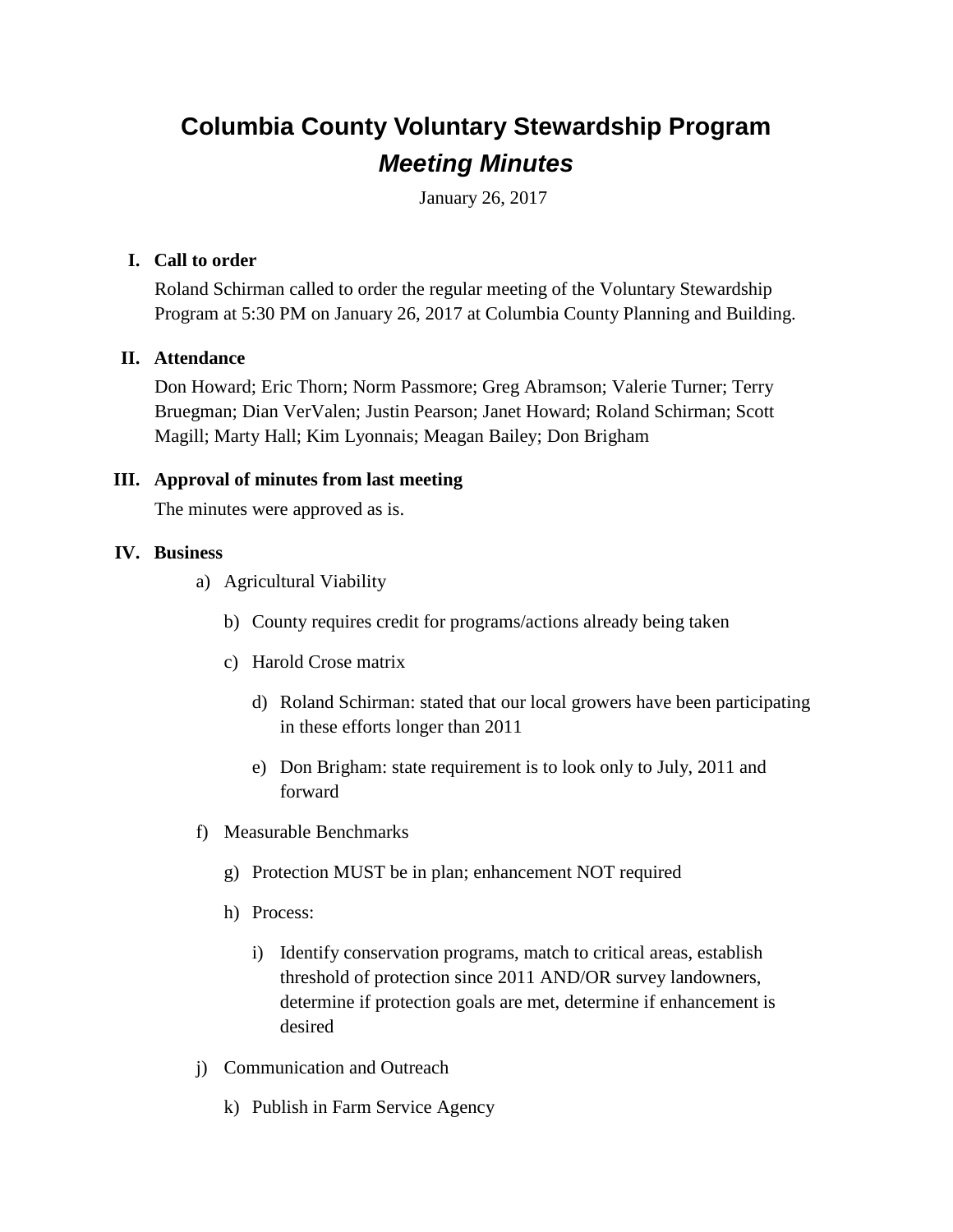# **Columbia County Voluntary Stewardship Program** *Meeting Minutes*

January 26, 2017

## **I. Call to order**

Roland Schirman called to order the regular meeting of the Voluntary Stewardship Program at 5:30 PM on January 26, 2017 at Columbia County Planning and Building.

### **II. Attendance**

Don Howard; Eric Thorn; Norm Passmore; Greg Abramson; Valerie Turner; Terry Bruegman; Dian VerValen; Justin Pearson; Janet Howard; Roland Schirman; Scott Magill; Marty Hall; Kim Lyonnais; Meagan Bailey; Don Brigham

### **III. Approval of minutes from last meeting**

The minutes were approved as is.

### **IV. Business**

- a) Agricultural Viability
	- b) County requires credit for programs/actions already being taken
	- c) Harold Crose matrix
		- d) Roland Schirman: stated that our local growers have been participating in these efforts longer than 2011
		- e) Don Brigham: state requirement is to look only to July, 2011 and forward
- f) Measurable Benchmarks
	- g) Protection MUST be in plan; enhancement NOT required
	- h) Process:
		- i) Identify conservation programs, match to critical areas, establish threshold of protection since 2011 AND/OR survey landowners, determine if protection goals are met, determine if enhancement is desired
- j) Communication and Outreach
	- k) Publish in Farm Service Agency